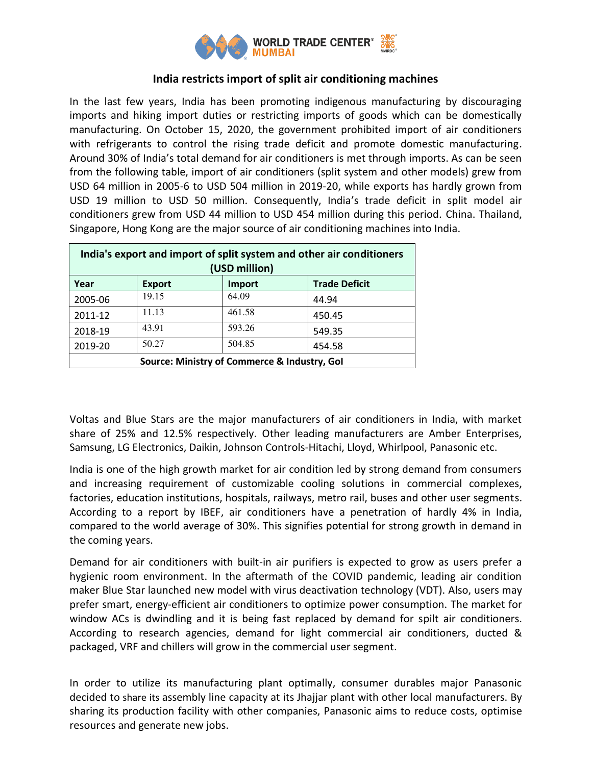

# **India restricts import of split air conditioning machines**

In the last few years, India has been promoting indigenous manufacturing by discouraging imports and hiking import duties or restricting imports of goods which can be domestically manufacturing. On October 15, 2020, the government prohibited import of air conditioners with refrigerants to control the rising trade deficit and promote domestic manufacturing. Around 30% of India's total demand for air conditioners is met through imports. As can be seen from the following table, import of air conditioners (split system and other models) grew from USD 64 million in 2005-6 to USD 504 million in 2019-20, while exports has hardly grown from USD 19 million to USD 50 million. Consequently, India's trade deficit in split model air conditioners grew from USD 44 million to USD 454 million during this period. China. Thailand, Singapore, Hong Kong are the major source of air conditioning machines into India.

| India's export and import of split system and other air conditioners<br>(USD million) |               |        |                      |
|---------------------------------------------------------------------------------------|---------------|--------|----------------------|
| Year                                                                                  | <b>Export</b> | Import | <b>Trade Deficit</b> |
| 2005-06                                                                               | 19.15         | 64.09  | 44.94                |
| 2011-12                                                                               | 11.13         | 461.58 | 450.45               |
| 2018-19                                                                               | 43.91         | 593.26 | 549.35               |
| 2019-20                                                                               | 50.27         | 504.85 | 454.58               |
| Source: Ministry of Commerce & Industry, Gol                                          |               |        |                      |

Voltas and Blue Stars are the major manufacturers of air conditioners in India, with market share of 25% and 12.5% respectively. Other leading manufacturers are Amber Enterprises, Samsung, LG Electronics, Daikin, Johnson Controls-Hitachi, Lloyd, Whirlpool, Panasonic etc.

India is one of the high growth market for air condition led by strong demand from consumers and increasing requirement of customizable cooling solutions in commercial complexes, factories, education institutions, hospitals, railways, metro rail, buses and other user segments. According to a report by IBEF, air conditioners have a penetration of hardly 4% in India, compared to the world average of 30%. This signifies potential for strong growth in demand in the coming years.

Demand for air conditioners with built-in air purifiers is expected to grow as users prefer a hygienic room environment. In the aftermath of the COVID pandemic, leading air condition maker Blue Star launched new model with virus deactivation technology (VDT). Also, users may prefer smart, energy-efficient air conditioners to optimize power consumption. The market for window ACs is dwindling and it is being fast replaced by demand for spilt air conditioners. According to research agencies, demand for light commercial air conditioners, ducted & packaged, VRF and chillers will grow in the commercial user segment.

In order to utilize its manufacturing plant optimally, consumer durables major Panasonic decided to share its assembly line capacity at its Jhajjar plant with other local manufacturers. By sharing its production facility with other companies, Panasonic aims to reduce costs, optimise resources and generate new jobs.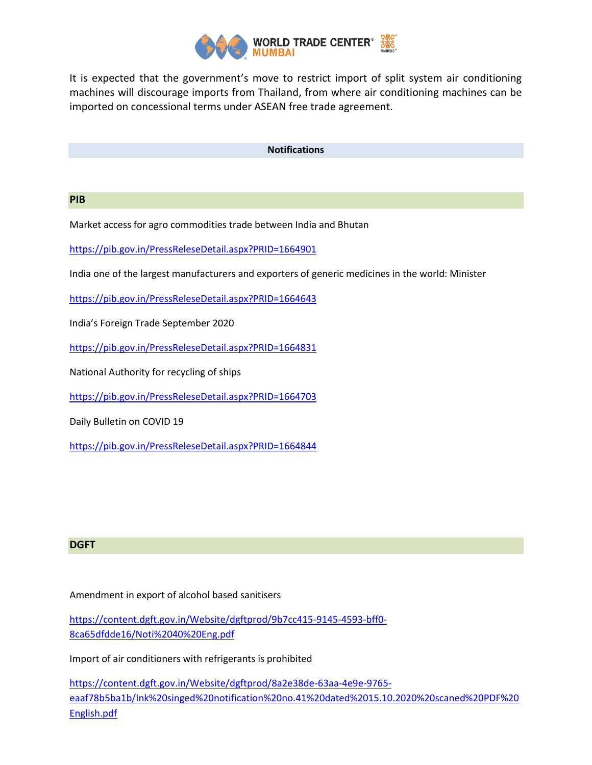

It is expected that the government's move to restrict import of split system air conditioning machines will discourage imports from Thailand, from where air conditioning machines can be imported on concessional terms under ASEAN free trade agreement.

#### **Notifications**

### **PIB**

Market access for agro commodities trade between India and Bhutan

<https://pib.gov.in/PressReleseDetail.aspx?PRID=1664901>

India one of the largest manufacturers and exporters of generic medicines in the world: Minister

<https://pib.gov.in/PressReleseDetail.aspx?PRID=1664643>

India's Foreign Trade September 2020

<https://pib.gov.in/PressReleseDetail.aspx?PRID=1664831>

National Authority for recycling of ships

<https://pib.gov.in/PressReleseDetail.aspx?PRID=1664703>

Daily Bulletin on COVID 19

<https://pib.gov.in/PressReleseDetail.aspx?PRID=1664844>

## **DGFT**

#### Amendment in export of alcohol based sanitisers

[https://content.dgft.gov.in/Website/dgftprod/9b7cc415-9145-4593-bff0-](https://content.dgft.gov.in/Website/dgftprod/9b7cc415-9145-4593-bff0-8ca65dfdde16/Noti%2040%20Eng.pdf) [8ca65dfdde16/Noti%2040%20Eng.pdf](https://content.dgft.gov.in/Website/dgftprod/9b7cc415-9145-4593-bff0-8ca65dfdde16/Noti%2040%20Eng.pdf)

Import of air conditioners with refrigerants is prohibited

[https://content.dgft.gov.in/Website/dgftprod/8a2e38de-63aa-4e9e-9765](https://content.dgft.gov.in/Website/dgftprod/8a2e38de-63aa-4e9e-9765-eaaf78b5ba1b/Ink%20singed%20notification%20no.41%20dated%2015.10.2020%20scaned%20PDF%20English.pdf) [eaaf78b5ba1b/Ink%20singed%20notification%20no.41%20dated%2015.10.2020%20scaned%20PDF%20](https://content.dgft.gov.in/Website/dgftprod/8a2e38de-63aa-4e9e-9765-eaaf78b5ba1b/Ink%20singed%20notification%20no.41%20dated%2015.10.2020%20scaned%20PDF%20English.pdf) [English.pdf](https://content.dgft.gov.in/Website/dgftprod/8a2e38de-63aa-4e9e-9765-eaaf78b5ba1b/Ink%20singed%20notification%20no.41%20dated%2015.10.2020%20scaned%20PDF%20English.pdf)